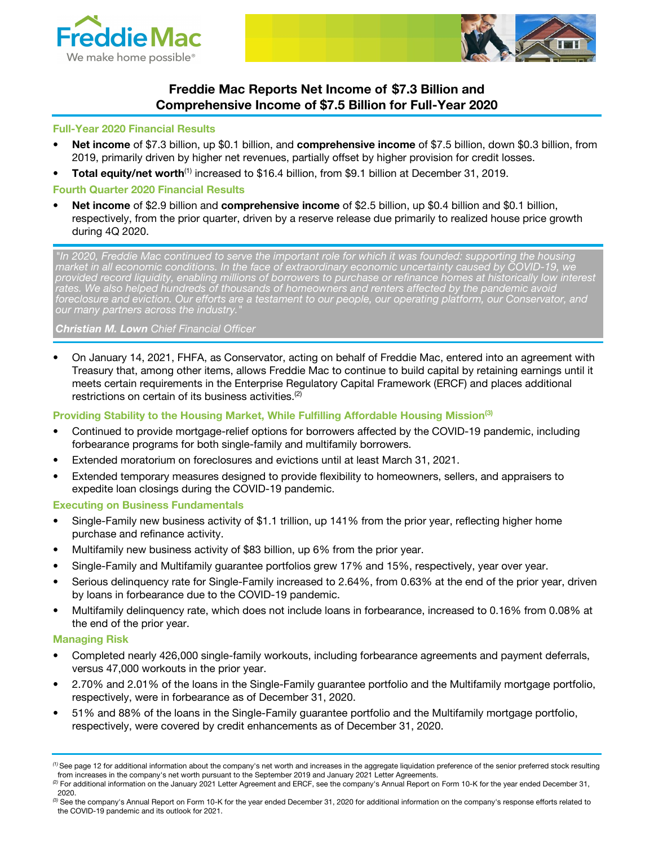



# Freddie Mac Reports Net Income of \$7.3 Billion and Comprehensive Income of \$7.5 Billion for Full-Year 2020

#### Full-Year 2020 Financial Results

- **Net income** of \$7.3 billion, up \$0.1 billion, and **comprehensive income** of \$7.5 billion, down \$0.3 billion, from 2019, primarily driven by higher net revenues, partially offset by higher provision for credit losses.
- Total equity/net worth<sup>(1)</sup> increased to \$16.4 billion, from \$9.1 billion at December 31, 2019.

#### Fourth Quarter 2020 Financial Results

Net income of \$2.9 billion and comprehensive income of \$2.5 billion, up \$0.4 billion and \$0.1 billion, respectively, from the prior quarter, driven by a reserve release due primarily to realized house price growth during 4Q 2020.

"In 2020, Freddie Mac continued to serve the important role for which it was founded: supporting the housing<br>market in all economic conditions. In the face of extraordinary economic uncertainty caused by COVID-19, we market in all economic conditions. In the face of extraordinary economic uncertainty caused by COVID-19, we provided record liquidity, enabling millions of borrowers to purchase or refinance homes at historically low interest rates. We also helped hundreds of thousands of homeowners and renters affected by the pandemic avoid foreclosure and eviction. Our efforts are a testament to our people, our operating platform, our Conservator, and our many partners across the industry."

#### **Christian M. Lown** Chief Financial Officer

• On January 14, 2021, FHFA, as Conservator, acting on behalf of Freddie Mac, entered into an agreement with Treasury that, among other items, allows Freddie Mac to continue to build capital by retaining earnings until it meets certain requirements in the Enterprise Regulatory Capital Framework (ERCF) and places additional restrictions on certain of its business activities.<sup>(2)</sup>

## Providing Stability to the Housing Market, While Fulfilling Affordable Housing Mission<sup>(3)</sup>

- Continued to provide mortgage-relief options for borrowers affected by the COVID-19 pandemic, including forbearance programs for both single-family and multifamily borrowers.
- Extended moratorium on foreclosures and evictions until at least March 31, 2021.
- Extended temporary measures designed to provide flexibility to homeowners, sellers, and appraisers to expedite loan closings during the COVID-19 pandemic.

#### Executing on Business Fundamentals

- Single-Family new business activity of \$1.1 trillion, up 141% from the prior year, reflecting higher home purchase and refinance activity.
- Multifamily new business activity of \$83 billion, up 6% from the prior year.
- Single-Family and Multifamily guarantee portfolios grew 17% and 15%, respectively, year over year.
- Serious delinquency rate for Single-Family increased to 2.64%, from 0.63% at the end of the prior year, driven by loans in forbearance due to the COVID-19 pandemic.
- Multifamily delinquency rate, which does not include loans in forbearance, increased to 0.16% from 0.08% at the end of the prior year.

#### Managing Risk

- Completed nearly 426,000 single-family workouts, including forbearance agreements and payment deferrals, versus 47,000 workouts in the prior year.
- 2.70% and 2.01% of the loans in the Single-Family guarantee portfolio and the Multifamily mortgage portfolio, respectively, were in forbearance as of December 31, 2020.
- 51% and 88% of the loans in the Single-Family guarantee portfolio and the Multifamily mortgage portfolio, respectively, were covered by credit enhancements as of December 31, 2020.

(3) See the company's Annual Report on Form 10-K for the year ended December 31, 2020 for additional information on the company's response efforts related to the COVID-19 pandemic and its outlook for 2021.

 $<sup>(1)</sup>$  See page 12 for additional information about the company's net worth and increases in the aggregate liquidation preference of the senior preferred stock resulting</sup> from increases in the company's net worth pursuant to the September 2019 and January 2021 Letter Agreements.

<sup>(2)</sup> For additional information on the January 2021 Letter Agreement and ERCF, see the company's Annual Report on Form 10-K for the year ended December 31, 2020.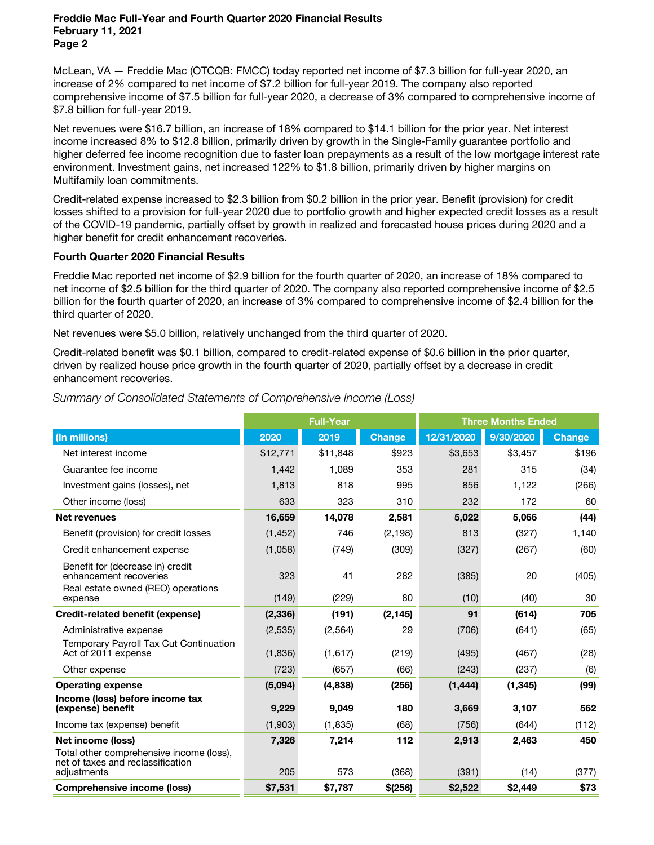McLean, VA — Freddie Mac (OTCQB: FMCC) today reported net income of \$7.3 billion for full-year 2020, an increase of 2% compared to net income of \$7.2 billion for full-year 2019. The company also reported comprehensive income of \$7.5 billion for full-year 2020, a decrease of 3% compared to comprehensive income of \$7.8 billion for full-year 2019.

Net revenues were \$16.7 billion, an increase of 18% compared to \$14.1 billion for the prior year. Net interest income increased 8% to \$12.8 billion, primarily driven by growth in the Single-Family guarantee portfolio and higher deferred fee income recognition due to faster loan prepayments as a result of the low mortgage interest rate environment. Investment gains, net increased 122% to \$1.8 billion, primarily driven by higher margins on Multifamily loan commitments.

Credit-related expense increased to \$2.3 billion from \$0.2 billion in the prior year. Benefit (provision) for credit losses shifted to a provision for full-year 2020 due to portfolio growth and higher expected credit losses as a result of the COVID-19 pandemic, partially offset by growth in realized and forecasted house prices during 2020 and a higher benefit for credit enhancement recoveries.

## Fourth Quarter 2020 Financial Results

Freddie Mac reported net income of \$2.9 billion for the fourth quarter of 2020, an increase of 18% compared to net income of \$2.5 billion for the third quarter of 2020. The company also reported comprehensive income of \$2.5 billion for the fourth quarter of 2020, an increase of 3% compared to comprehensive income of \$2.4 billion for the third quarter of 2020.

Net revenues were \$5.0 billion, relatively unchanged from the third quarter of 2020.

Credit-related benefit was \$0.1 billion, compared to credit-related expense of \$0.6 billion in the prior quarter, driven by realized house price growth in the fourth quarter of 2020, partially offset by a decrease in credit enhancement recoveries.

|                                                                                                  | <b>Full-Year</b> |          |          | <b>Three Months Ended</b> |           |               |  |
|--------------------------------------------------------------------------------------------------|------------------|----------|----------|---------------------------|-----------|---------------|--|
| (In millions)                                                                                    | 2020             | 2019     | Change   | 12/31/2020                | 9/30/2020 | <b>Change</b> |  |
| Net interest income                                                                              | \$12,771         | \$11,848 | \$923    | \$3,653                   | \$3,457   | \$196         |  |
| Guarantee fee income                                                                             | 1,442            | 1,089    | 353      | 281                       | 315       | (34)          |  |
| Investment gains (losses), net                                                                   | 1,813            | 818      | 995      | 856                       | 1,122     | (266)         |  |
| Other income (loss)                                                                              | 633              | 323      | 310      | 232                       | 172       | 60            |  |
| <b>Net revenues</b>                                                                              | 16,659           | 14,078   | 2,581    | 5,022                     | 5,066     | (44)          |  |
| Benefit (provision) for credit losses                                                            | (1, 452)         | 746      | (2, 198) | 813                       | (327)     | 1.140         |  |
| Credit enhancement expense                                                                       | (1,058)          | (749)    | (309)    | (327)                     | (267)     | (60)          |  |
| Benefit for (decrease in) credit<br>enhancement recoveries<br>Real estate owned (REO) operations | 323              | 41       | 282      | (385)                     | 20        | (405)         |  |
| expense                                                                                          | (149)            | (229)    | 80       | (10)                      | (40)      | 30            |  |
| <b>Credit-related benefit (expense)</b>                                                          | (2, 336)         | (191)    | (2, 145) | 91                        | (614)     | 705           |  |
| Administrative expense                                                                           | (2,535)          | (2, 564) | 29       | (706)                     | (641)     | (65)          |  |
| Temporary Payroll Tax Cut Continuation<br>Act of 2011 expense                                    | (1,836)          | (1,617)  | (219)    | (495)                     | (467)     | (28)          |  |
| Other expense                                                                                    | (723)            | (657)    | (66)     | (243)                     | (237)     | (6)           |  |
| <b>Operating expense</b>                                                                         | (5,094)          | (4,838)  | (256)    | (1, 444)                  | (1, 345)  | (99)          |  |
| Income (loss) before income tax<br>(expense) benefit                                             | 9,229            | 9,049    | 180      | 3,669                     | 3,107     | 562           |  |
| Income tax (expense) benefit                                                                     | (1,903)          | (1, 835) | (68)     | (756)                     | (644)     | (112)         |  |
| Net income (loss)                                                                                | 7,326            | 7,214    | 112      | 2,913                     | 2,463     | 450           |  |
| Total other comprehensive income (loss),<br>net of taxes and reclassification<br>adjustments     | 205              | 573      | (368)    | (391)                     | (14)      | (377)         |  |
| <b>Comprehensive income (loss)</b>                                                               | \$7,531          | \$7,787  | \$(256)  | \$2,522                   | \$2,449   | \$73          |  |

## Summary of Consolidated Statements of Comprehensive Income (Loss)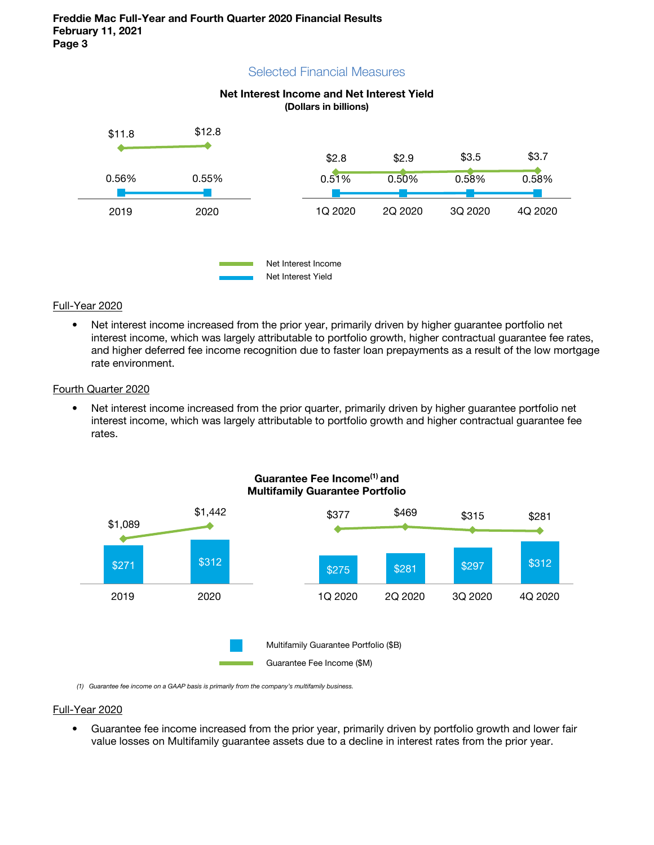## Selected Financial Measures





#### Full-Year 2020

• Net interest income increased from the prior year, primarily driven by higher guarantee portfolio net interest income, which was largely attributable to portfolio growth, higher contractual guarantee fee rates, and higher deferred fee income recognition due to faster loan prepayments as a result of the low mortgage rate environment.

#### Fourth Quarter 2020

• Net interest income increased from the prior quarter, primarily driven by higher quarantee portfolio net interest income, which was largely attributable to portfolio growth and higher contractual guarantee fee rates.



## Guarantee Fee Income<sup>(1)</sup> and Multifamily Guarantee Portfolio

(1) Guarantee fee income on a GAAP basis is primarily from the company's multifamily business.

#### Full-Year 2020

• Guarantee fee income increased from the prior year, primarily driven by portfolio growth and lower fair value losses on Multifamily guarantee assets due to a decline in interest rates from the prior year.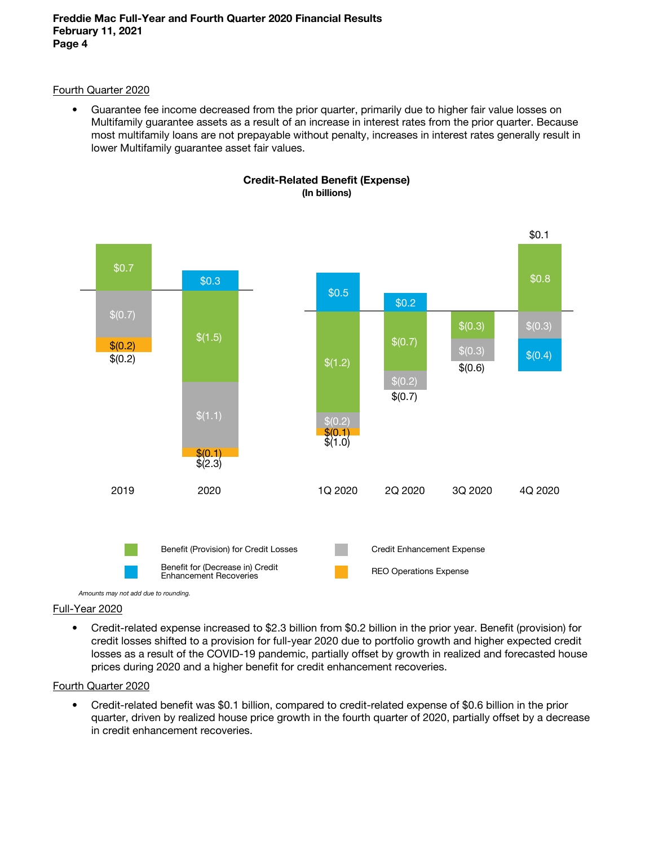## Fourth Quarter 2020

• Guarantee fee income decreased from the prior quarter, primarily due to higher fair value losses on Multifamily guarantee assets as a result of an increase in interest rates from the prior quarter. Because most multifamily loans are not prepayable without penalty, increases in interest rates generally result in lower Multifamily guarantee asset fair values.





# Full-Year 2020

• Credit-related expense increased to \$2.3 billion from \$0.2 billion in the prior year. Benefit (provision) for credit losses shifted to a provision for full-year 2020 due to portfolio growth and higher expected credit losses as a result of the COVID-19 pandemic, partially offset by growth in realized and forecasted house prices during 2020 and a higher benefit for credit enhancement recoveries.

## Fourth Quarter 2020

• Credit-related benefit was \$0.1 billion, compared to credit-related expense of \$0.6 billion in the prior quarter, driven by realized house price growth in the fourth quarter of 2020, partially offset by a decrease in credit enhancement recoveries.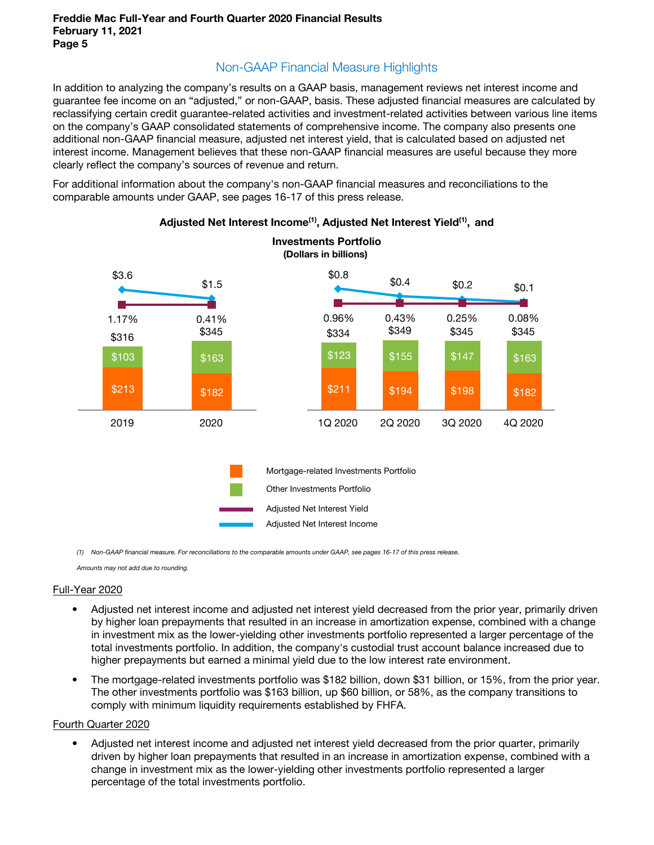# Non-GAAP Financial Measure Highlights

In addition to analyzing the company's results on a GAAP basis, management reviews net interest income and guarantee fee income on an "adjusted," or non-GAAP, basis. These adjusted financial measures are calculated by reclassifying certain credit guarantee-related activities and investment-related activities between various line items on the company's GAAP consolidated statements of comprehensive income. The company also presents one additional non-GAAP financial measure, adjusted net interest yield, that is calculated based on adjusted net interest income. Management believes that these non-GAAP financial measures are useful because they more clearly reflect the company's sources of revenue and return.

For additional information about the company's non-GAAP financial measures and reconciliations to the comparable amounts under GAAP, see pages 16-17 of this press release.



# Adjusted Net Interest Income<sup>(1)</sup>, Adjusted Net Interest Yield<sup>(1)</sup>, and

(1) Non-GAAP financial measure. For reconciliations to the comparable amounts under GAAP, see pages 16-17 of this press release.

Amounts may not add due to rounding.

#### Full-Year 2020

- Adjusted net interest income and adjusted net interest yield decreased from the prior year, primarily driven by higher loan prepayments that resulted in an increase in amortization expense, combined with a change in investment mix as the lower-yielding other investments portfolio represented a larger percentage of the total investments portfolio. In addition, the company's custodial trust account balance increased due to higher prepayments but earned a minimal yield due to the low interest rate environment.
- The mortgage-related investments portfolio was \$182 billion, down \$31 billion, or 15%, from the prior year. The other investments portfolio was \$163 billion, up \$60 billion, or 58%, as the company transitions to comply with minimum liquidity requirements established by FHFA.

#### Fourth Quarter 2020

• Adjusted net interest income and adjusted net interest yield decreased from the prior quarter, primarily driven by higher loan prepayments that resulted in an increase in amortization expense, combined with a change in investment mix as the lower-yielding other investments portfolio represented a larger percentage of the total investments portfolio.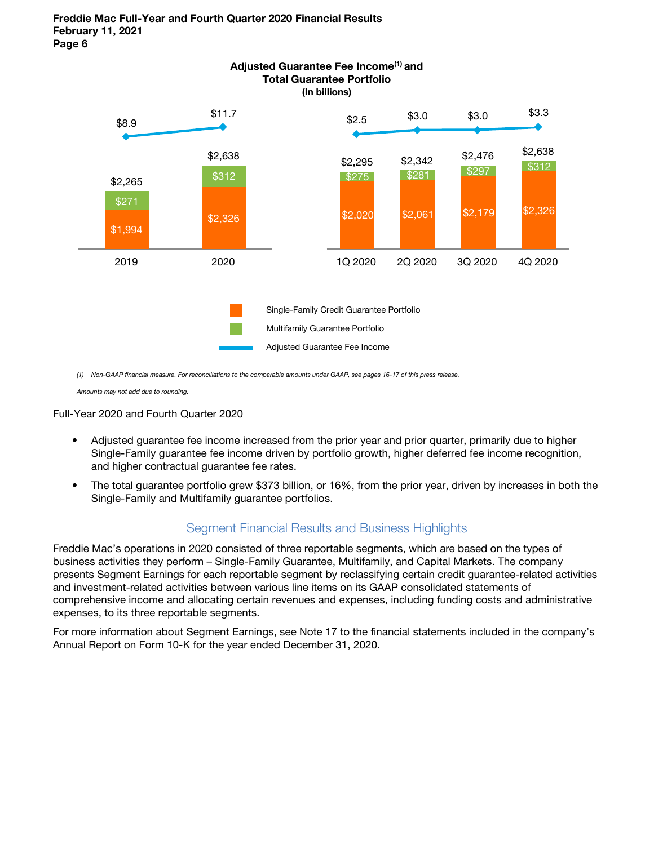

(1) Non-GAAP financial measure. For reconciliations to the comparable amounts under GAAP, see pages 16-17 of this press release.

Amounts may not add due to rounding.

#### Full-Year 2020 and Fourth Quarter 2020

- Adjusted guarantee fee income increased from the prior year and prior quarter, primarily due to higher Single-Family guarantee fee income driven by portfolio growth, higher deferred fee income recognition, and higher contractual guarantee fee rates.
- The total guarantee portfolio grew \$373 billion, or 16%, from the prior year, driven by increases in both the Single-Family and Multifamily guarantee portfolios.

## Segment Financial Results and Business Highlights

Freddie Mac's operations in 2020 consisted of three reportable segments, which are based on the types of business activities they perform – Single-Family Guarantee, Multifamily, and Capital Markets. The company presents Segment Earnings for each reportable segment by reclassifying certain credit guarantee-related activities and investment-related activities between various line items on its GAAP consolidated statements of comprehensive income and allocating certain revenues and expenses, including funding costs and administrative expenses, to its three reportable segments.

For more information about Segment Earnings, see Note 17 to the financial statements included in the company's Annual Report on Form 10-K for the year ended December 31, 2020.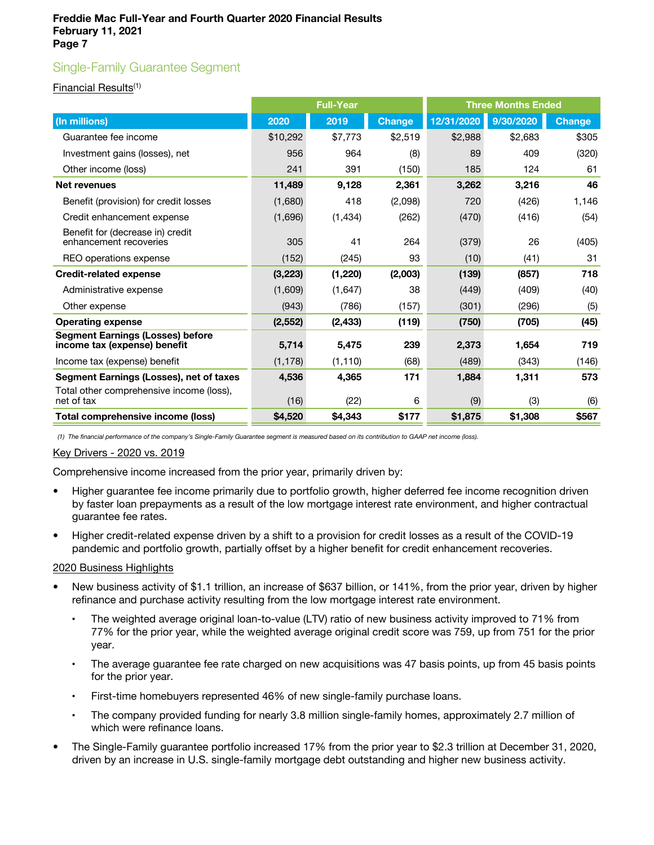# Single-Family Guarantee Segment

## Financial Results(1)

|                                                                         |          | <b>Full-Year</b> |               | <b>Three Months Ended</b> |           |               |
|-------------------------------------------------------------------------|----------|------------------|---------------|---------------------------|-----------|---------------|
| (In millions)                                                           | 2020     | 2019             | <b>Change</b> | 12/31/2020                | 9/30/2020 | <b>Change</b> |
| Guarantee fee income                                                    | \$10,292 | \$7,773          | \$2,519       | \$2,988                   | \$2,683   | \$305         |
| Investment gains (losses), net                                          | 956      | 964              | (8)           | 89                        | 409       | (320)         |
| Other income (loss)                                                     | 241      | 391              | (150)         | 185                       | 124       | 61            |
| <b>Net revenues</b>                                                     | 11,489   | 9,128            | 2,361         | 3,262                     | 3,216     | 46            |
| Benefit (provision) for credit losses                                   | (1,680)  | 418              | (2,098)       | 720                       | (426)     | 1,146         |
| Credit enhancement expense                                              | (1,696)  | (1, 434)         | (262)         | (470)                     | (416)     | (54)          |
| Benefit for (decrease in) credit<br>enhancement recoveries              | 305      | 41               | 264           | (379)                     | 26        | (405)         |
| REO operations expense                                                  | (152)    | (245)            | 93            | (10)                      | (41)      | 31            |
| <b>Credit-related expense</b>                                           | (3,223)  | (1,220)          | (2,003)       | (139)                     | (857)     | 718           |
| Administrative expense                                                  | (1,609)  | (1,647)          | 38            | (449)                     | (409)     | (40)          |
| Other expense                                                           | (943)    | (786)            | (157)         | (301)                     | (296)     | (5)           |
| <b>Operating expense</b>                                                | (2, 552) | (2, 433)         | (119)         | (750)                     | (705)     | (45)          |
| <b>Segment Earnings (Losses) before</b><br>income tax (expense) benefit | 5,714    | 5,475            | 239           | 2,373                     | 1,654     | 719           |
| Income tax (expense) benefit                                            | (1, 178) | (1, 110)         | (68)          | (489)                     | (343)     | (146)         |
| Segment Earnings (Losses), net of taxes                                 | 4,536    | 4,365            | 171           | 1,884                     | 1,311     | 573           |
| Total other comprehensive income (loss),<br>net of tax                  | (16)     | (22)             | 6             | (9)                       | (3)       | (6)           |
| Total comprehensive income (loss)                                       | \$4,520  | \$4,343          | \$177         | \$1,875                   | \$1,308   | \$567         |

(1) The financial performance of the company's Single-Family Guarantee segment is measured based on its contribution to GAAP net income (loss).

#### Key Drivers - 2020 vs. 2019

Comprehensive income increased from the prior year, primarily driven by:

- Higher guarantee fee income primarily due to portfolio growth, higher deferred fee income recognition driven by faster loan prepayments as a result of the low mortgage interest rate environment, and higher contractual guarantee fee rates.
- Higher credit-related expense driven by a shift to a provision for credit losses as a result of the COVID-19 pandemic and portfolio growth, partially offset by a higher benefit for credit enhancement recoveries.

#### 2020 Business Highlights

- New business activity of \$1.1 trillion, an increase of \$637 billion, or 141%, from the prior year, driven by higher refinance and purchase activity resulting from the low mortgage interest rate environment.
	- The weighted average original loan-to-value (LTV) ratio of new business activity improved to 71% from 77% for the prior year, while the weighted average original credit score was 759, up from 751 for the prior year.
	- The average guarantee fee rate charged on new acquisitions was 47 basis points, up from 45 basis points for the prior year.
	- First-time homebuyers represented 46% of new single-family purchase loans.
	- The company provided funding for nearly 3.8 million single-family homes, approximately 2.7 million of which were refinance loans.
- The Single-Family guarantee portfolio increased 17% from the prior year to \$2.3 trillion at December 31, 2020, driven by an increase in U.S. single-family mortgage debt outstanding and higher new business activity.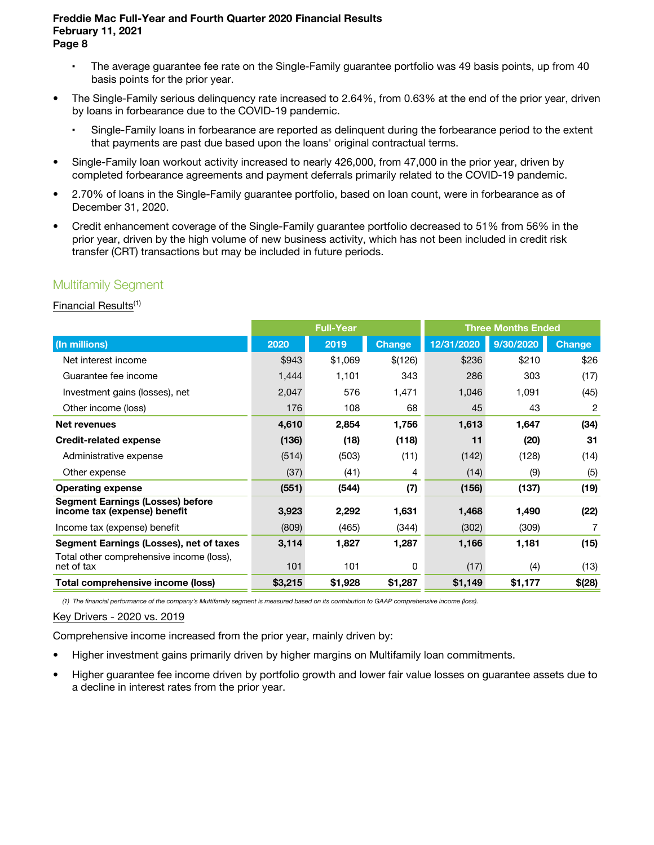- The average guarantee fee rate on the Single-Family guarantee portfolio was 49 basis points, up from 40 basis points for the prior year.
- The Single-Family serious delinquency rate increased to 2.64%, from 0.63% at the end of the prior year, driven by loans in forbearance due to the COVID-19 pandemic.
	- Single-Family loans in forbearance are reported as delinquent during the forbearance period to the extent that payments are past due based upon the loans' original contractual terms.
- Single-Family loan workout activity increased to nearly 426,000, from 47,000 in the prior year, driven by completed forbearance agreements and payment deferrals primarily related to the COVID-19 pandemic.
- 2.70% of loans in the Single-Family guarantee portfolio, based on loan count, were in forbearance as of December 31, 2020.
- Credit enhancement coverage of the Single-Family guarantee portfolio decreased to 51% from 56% in the prior year, driven by the high volume of new business activity, which has not been included in credit risk transfer (CRT) transactions but may be included in future periods.

# Multifamily Segment

## Financial Results(1)

|                                                                         | <b>Full-Year</b><br><b>Three Months Ended</b> |         |               |            |           |               |
|-------------------------------------------------------------------------|-----------------------------------------------|---------|---------------|------------|-----------|---------------|
| (In millions)                                                           | 2020                                          | 2019    | <b>Change</b> | 12/31/2020 | 9/30/2020 | <b>Change</b> |
| Net interest income                                                     | \$943                                         | \$1,069 | \$(126)       | \$236      | \$210     | \$26          |
| Guarantee fee income                                                    | 1,444                                         | 1,101   | 343           | 286        | 303       | (17)          |
| Investment gains (losses), net                                          | 2,047                                         | 576     | 1,471         | 1,046      | 1,091     | (45)          |
| Other income (loss)                                                     | 176                                           | 108     | 68            | 45         | 43        | 2             |
| <b>Net revenues</b>                                                     | 4,610                                         | 2,854   | 1,756         | 1,613      | 1,647     | (34)          |
| <b>Credit-related expense</b>                                           | (136)                                         | (18)    | (118)         | 11         | (20)      | 31            |
| Administrative expense                                                  | (514)                                         | (503)   | (11)          | (142)      | (128)     | (14)          |
| Other expense                                                           | (37)                                          | (41)    | 4             | (14)       | (9)       | (5)           |
| <b>Operating expense</b>                                                | (551)                                         | (544)   | (7)           | (156)      | (137)     | (19)          |
| <b>Segment Earnings (Losses) before</b><br>income tax (expense) benefit | 3,923                                         | 2,292   | 1,631         | 1,468      | 1,490     | (22)          |
| Income tax (expense) benefit                                            | (809)                                         | (465)   | (344)         | (302)      | (309)     | 7             |
| Segment Earnings (Losses), net of taxes                                 | 3,114                                         | 1,827   | 1,287         | 1,166      | 1,181     | (15)          |
| Total other comprehensive income (loss),<br>net of tax                  | 101                                           | 101     | 0             | (17)       | (4)       | (13)          |
| Total comprehensive income (loss)                                       | \$3,215                                       | \$1,928 | \$1,287       | \$1,149    | \$1,177   | \$(28)        |

(1) The financial performance of the company's Multifamily segment is measured based on its contribution to GAAP comprehensive income (loss).

## Key Drivers - 2020 vs. 2019

Comprehensive income increased from the prior year, mainly driven by:

- Higher investment gains primarily driven by higher margins on Multifamily loan commitments.
- Higher guarantee fee income driven by portfolio growth and lower fair value losses on guarantee assets due to a decline in interest rates from the prior year.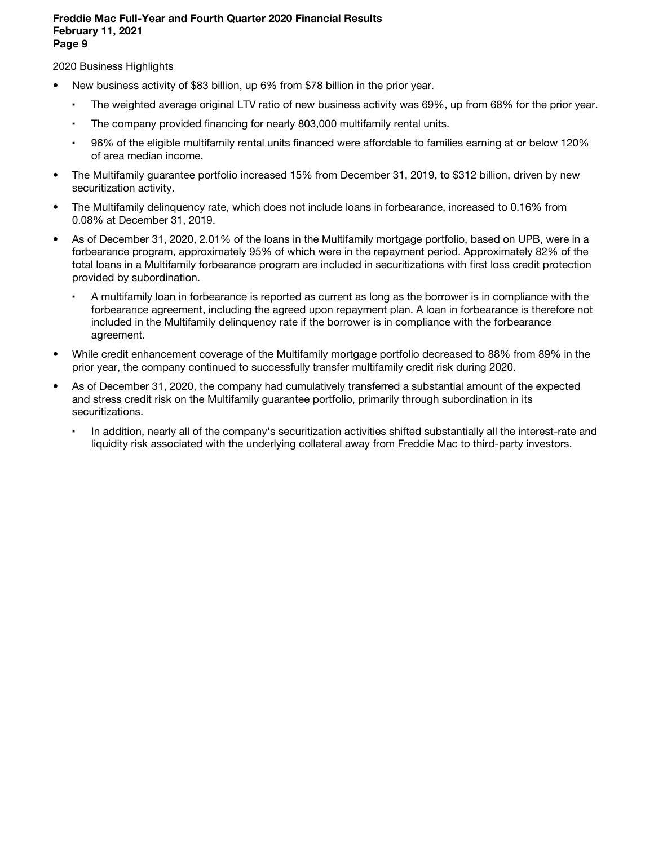### 2020 Business Highlights

- New business activity of \$83 billion, up 6% from \$78 billion in the prior year.
	- The weighted average original LTV ratio of new business activity was 69%, up from 68% for the prior year.
	- The company provided financing for nearly 803,000 multifamily rental units.
	- 96% of the eligible multifamily rental units financed were affordable to families earning at or below 120% of area median income.
- The Multifamily guarantee portfolio increased 15% from December 31, 2019, to \$312 billion, driven by new securitization activity.
- The Multifamily delinquency rate, which does not include loans in forbearance, increased to 0.16% from 0.08% at December 31, 2019.
- As of December 31, 2020, 2.01% of the loans in the Multifamily mortgage portfolio, based on UPB, were in a forbearance program, approximately 95% of which were in the repayment period. Approximately 82% of the total loans in a Multifamily forbearance program are included in securitizations with first loss credit protection provided by subordination.
	- A multifamily loan in forbearance is reported as current as long as the borrower is in compliance with the forbearance agreement, including the agreed upon repayment plan. A loan in forbearance is therefore not included in the Multifamily delinquency rate if the borrower is in compliance with the forbearance agreement.
- While credit enhancement coverage of the Multifamily mortgage portfolio decreased to 88% from 89% in the prior year, the company continued to successfully transfer multifamily credit risk during 2020.
- As of December 31, 2020, the company had cumulatively transferred a substantial amount of the expected and stress credit risk on the Multifamily guarantee portfolio, primarily through subordination in its securitizations.
	- In addition, nearly all of the company's securitization activities shifted substantially all the interest-rate and liquidity risk associated with the underlying collateral away from Freddie Mac to third-party investors.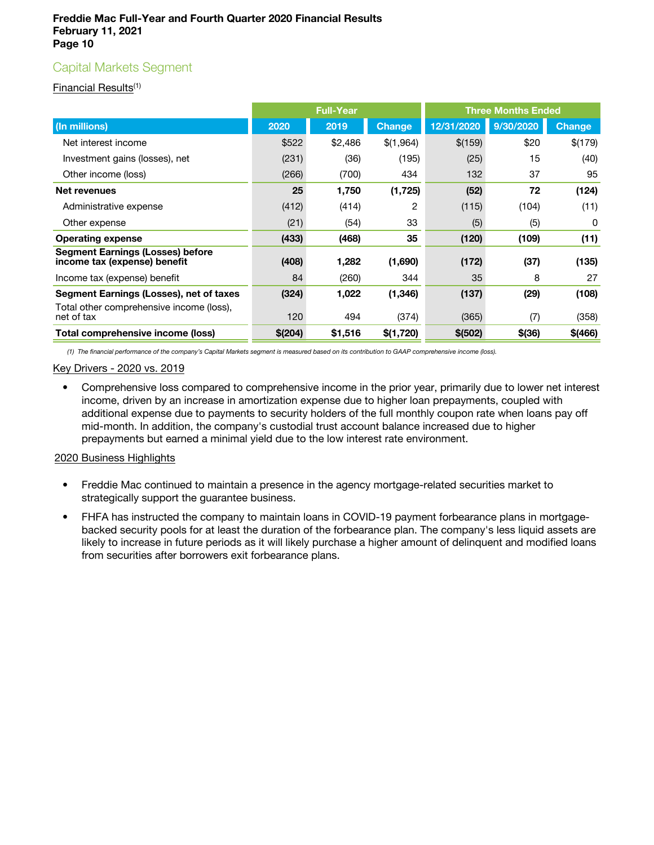# Capital Markets Segment

## Financial Results(1)

|                                                                         |          | <b>Full-Year</b> |               | <b>Three Months Ended</b> |           |               |  |
|-------------------------------------------------------------------------|----------|------------------|---------------|---------------------------|-----------|---------------|--|
| (In millions)                                                           | 2020     | 2019             | <b>Change</b> | 12/31/2020                | 9/30/2020 | <b>Change</b> |  |
| Net interest income                                                     | \$522    | \$2,486          | \$(1,964)     | \$(159)                   | \$20      | \$(179)       |  |
| Investment gains (losses), net                                          | (231)    | (36)             | (195)         | (25)                      | 15        | (40)          |  |
| Other income (loss)                                                     | (266)    | (700)            | 434           | 132                       | 37        | 95            |  |
| Net revenues                                                            | 25       | 1,750            | (1, 725)      | (52)                      | 72        | (124)         |  |
| Administrative expense                                                  | (412)    | (414)            | 2             | (115)                     | (104)     | (11)          |  |
| Other expense                                                           | (21)     | (54)             | 33            | (5)                       | (5)       | 0             |  |
| <b>Operating expense</b>                                                | (433)    | (468)            | 35            | (120)                     | (109)     | (11)          |  |
| <b>Segment Earnings (Losses) before</b><br>income tax (expense) benefit | (408)    | 1,282            | (1,690)       | (172)                     | (37)      | (135)         |  |
| Income tax (expense) benefit                                            | 84       | (260)            | 344           | 35                        | 8         | 27            |  |
| Segment Earnings (Losses), net of taxes                                 | (324)    | 1,022            | (1, 346)      | (137)                     | (29)      | (108)         |  |
| Total other comprehensive income (loss),<br>net of tax                  | 120      | 494              | (374)         | (365)                     | (7)       | (358)         |  |
| Total comprehensive income (loss)                                       | \$ (204) | \$1,516          | \$(1,720)     | \$ (502)                  | \$(36)    | \$(466)       |  |

(1) The financial performance of the company's Capital Markets segment is measured based on its contribution to GAAP comprehensive income (loss).

#### Key Drivers - 2020 vs. 2019

• Comprehensive loss compared to comprehensive income in the prior year, primarily due to lower net interest income, driven by an increase in amortization expense due to higher loan prepayments, coupled with additional expense due to payments to security holders of the full monthly coupon rate when loans pay off mid-month. In addition, the company's custodial trust account balance increased due to higher prepayments but earned a minimal yield due to the low interest rate environment.

## 2020 Business Highlights

- Freddie Mac continued to maintain a presence in the agency mortgage-related securities market to strategically support the guarantee business.
- FHFA has instructed the company to maintain loans in COVID-19 payment forbearance plans in mortgagebacked security pools for at least the duration of the forbearance plan. The company's less liquid assets are likely to increase in future periods as it will likely purchase a higher amount of delinquent and modified loans from securities after borrowers exit forbearance plans.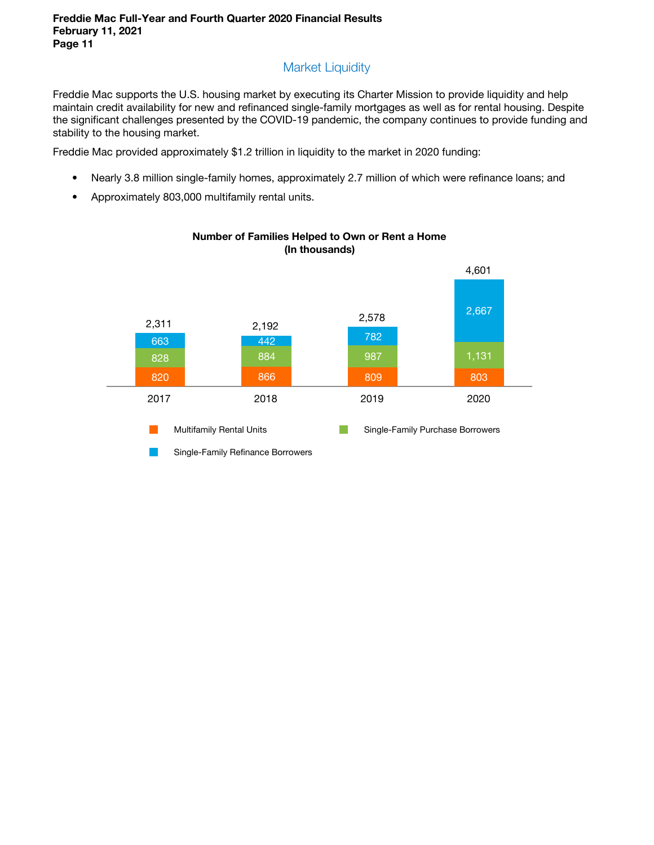# Market Liquidity

Freddie Mac supports the U.S. housing market by executing its Charter Mission to provide liquidity and help maintain credit availability for new and refinanced single-family mortgages as well as for rental housing. Despite the significant challenges presented by the COVID-19 pandemic, the company continues to provide funding and stability to the housing market.

Freddie Mac provided approximately \$1.2 trillion in liquidity to the market in 2020 funding:

- Nearly 3.8 million single-family homes, approximately 2.7 million of which were refinance loans; and
- Approximately 803,000 multifamily rental units.



## Number of Families Helped to Own or Rent a Home (In thousands)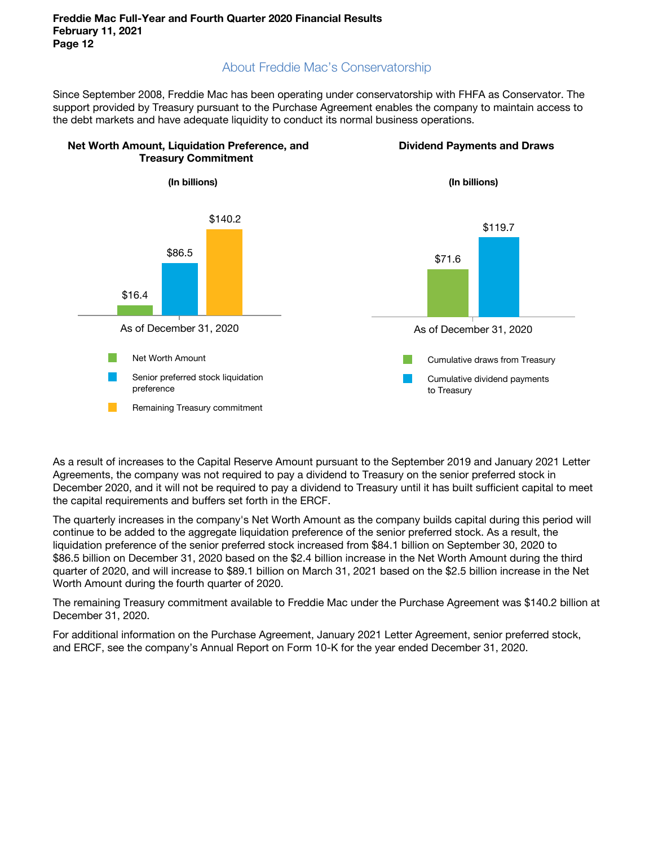# About Freddie Mac's Conservatorship

Since September 2008, Freddie Mac has been operating under conservatorship with FHFA as Conservator. The support provided by Treasury pursuant to the Purchase Agreement enables the company to maintain access to the debt markets and have adequate liquidity to conduct its normal business operations.



As a result of increases to the Capital Reserve Amount pursuant to the September 2019 and January 2021 Letter Agreements, the company was not required to pay a dividend to Treasury on the senior preferred stock in December 2020, and it will not be required to pay a dividend to Treasury until it has built sufficient capital to meet the capital requirements and buffers set forth in the ERCF.

The quarterly increases in the company's Net Worth Amount as the company builds capital during this period will continue to be added to the aggregate liquidation preference of the senior preferred stock. As a result, the liquidation preference of the senior preferred stock increased from \$84.1 billion on September 30, 2020 to \$86.5 billion on December 31, 2020 based on the \$2.4 billion increase in the Net Worth Amount during the third quarter of 2020, and will increase to \$89.1 billion on March 31, 2021 based on the \$2.5 billion increase in the Net Worth Amount during the fourth quarter of 2020.

The remaining Treasury commitment available to Freddie Mac under the Purchase Agreement was \$140.2 billion at December 31, 2020.

For additional information on the Purchase Agreement, January 2021 Letter Agreement, senior preferred stock, and ERCF, see the company's Annual Report on Form 10-K for the year ended December 31, 2020.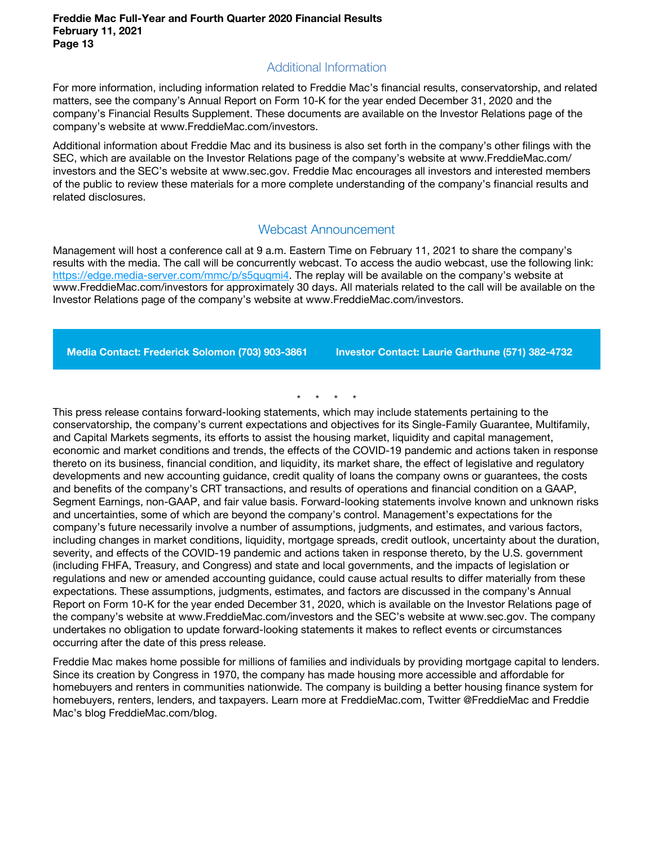# Additional Information

For more information, including information related to Freddie Mac's financial results, conservatorship, and related matters, see the company's Annual Report on Form 10-K for the year ended December 31, 2020 and the company's Financial Results Supplement. These documents are available on the Investor Relations page of the company's website at www.FreddieMac.com/investors.

Additional information about Freddie Mac and its business is also set forth in the company's other filings with the SEC, which are available on the Investor Relations page of the company's website at www.FreddieMac.com/ investors and the SEC's website at www.sec.gov. Freddie Mac encourages all investors and interested members of the public to review these materials for a more complete understanding of the company's financial results and related disclosures.

## Webcast Announcement

Management will host a conference call at 9 a.m. Eastern Time on February 11, 2021 to share the company's results with the media. The call will be concurrently webcast. To access the audio webcast, use the following link: https://edge.media-server.com/mmc/p/s5quqmi4. The replay will be available on the company's website at www.FreddieMac.com/investors for approximately 30 days. All materials related to the call will be available on the Investor Relations page of the company's website at www.FreddieMac.com/investors.

Media Contact: Frederick Solomon (703) 903-3861 Investor Contact: Laurie Garthune (571) 382-4732

\* \* \* \*

This press release contains forward-looking statements, which may include statements pertaining to the conservatorship, the company's current expectations and objectives for its Single-Family Guarantee, Multifamily, and Capital Markets segments, its efforts to assist the housing market, liquidity and capital management, economic and market conditions and trends, the effects of the COVID-19 pandemic and actions taken in response thereto on its business, financial condition, and liquidity, its market share, the effect of legislative and regulatory developments and new accounting guidance, credit quality of loans the company owns or guarantees, the costs and benefits of the company's CRT transactions, and results of operations and financial condition on a GAAP, Segment Earnings, non-GAAP, and fair value basis. Forward-looking statements involve known and unknown risks and uncertainties, some of which are beyond the company's control. Management's expectations for the company's future necessarily involve a number of assumptions, judgments, and estimates, and various factors, including changes in market conditions, liquidity, mortgage spreads, credit outlook, uncertainty about the duration, severity, and effects of the COVID-19 pandemic and actions taken in response thereto, by the U.S. government (including FHFA, Treasury, and Congress) and state and local governments, and the impacts of legislation or regulations and new or amended accounting guidance, could cause actual results to differ materially from these expectations. These assumptions, judgments, estimates, and factors are discussed in the company's Annual Report on Form 10-K for the year ended December 31, 2020, which is available on the Investor Relations page of the company's website at www.FreddieMac.com/investors and the SEC's website at www.sec.gov. The company undertakes no obligation to update forward-looking statements it makes to reflect events or circumstances occurring after the date of this press release.

Freddie Mac makes home possible for millions of families and individuals by providing mortgage capital to lenders. Since its creation by Congress in 1970, the company has made housing more accessible and affordable for homebuyers and renters in communities nationwide. The company is building a better housing finance system for homebuyers, renters, lenders, and taxpayers. Learn more at FreddieMac.com, Twitter @FreddieMac and Freddie Mac's blog FreddieMac.com/blog.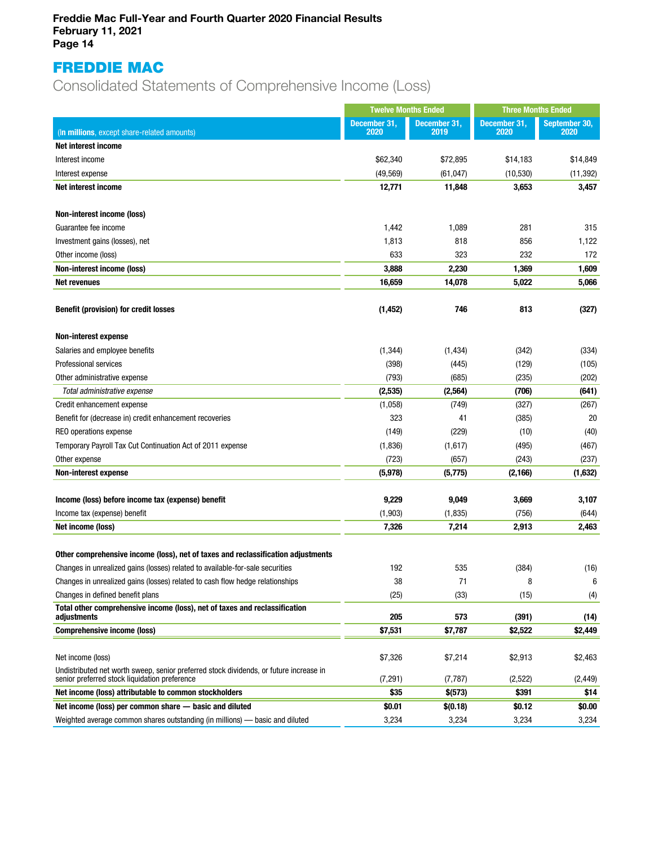# FREDDIE MAC

Consolidated Statements of Comprehensive Income (Loss)

|                                                                                                                                         |                      | <b>Twelve Months Ended</b> |                      | <b>Three Months Ended</b> |  |
|-----------------------------------------------------------------------------------------------------------------------------------------|----------------------|----------------------------|----------------------|---------------------------|--|
| (In millions, except share-related amounts)                                                                                             | December 31,<br>2020 | December 31,<br>2019       | December 31,<br>2020 | September 30,<br>2020     |  |
| Net interest income                                                                                                                     |                      |                            |                      |                           |  |
| Interest income                                                                                                                         | \$62,340             | \$72,895                   | \$14,183             | \$14,849                  |  |
| Interest expense                                                                                                                        | (49, 569)            | (61, 047)                  | (10, 530)            | (11, 392)                 |  |
| Net interest income                                                                                                                     | 12,771               | 11,848                     | 3,653                | 3,457                     |  |
| Non-interest income (loss)                                                                                                              |                      |                            |                      |                           |  |
| Guarantee fee income                                                                                                                    | 1,442                | 1,089                      | 281                  | 315                       |  |
| Investment gains (losses), net                                                                                                          | 1,813                | 818                        | 856                  | 1,122                     |  |
| Other income (loss)                                                                                                                     | 633                  | 323                        | 232                  | 172                       |  |
| Non-interest income (loss)                                                                                                              | 3,888                | 2,230                      | 1,369                | 1,609                     |  |
| <b>Net revenues</b>                                                                                                                     | 16,659               | 14,078                     | 5,022                | 5,066                     |  |
| <b>Benefit (provision) for credit losses</b>                                                                                            | (1, 452)             | 746                        | 813                  | (327)                     |  |
| <b>Non-interest expense</b>                                                                                                             |                      |                            |                      |                           |  |
| Salaries and employee benefits                                                                                                          | (1, 344)             | (1, 434)                   | (342)                | (334)                     |  |
| Professional services                                                                                                                   | (398)                | (445)                      | (129)                | (105)                     |  |
| Other administrative expense                                                                                                            | (793)                | (685)                      | (235)                | (202)                     |  |
| Total administrative expense                                                                                                            | (2,535)              | (2,564)                    | (706)                | (641)                     |  |
| Credit enhancement expense                                                                                                              | (1,058)              | (749)                      | (327)                | (267)                     |  |
| Benefit for (decrease in) credit enhancement recoveries                                                                                 | 323                  | 41                         | (385)                | 20                        |  |
| REO operations expense                                                                                                                  | (149)                | (229)                      | (10)                 | (40)                      |  |
| Temporary Payroll Tax Cut Continuation Act of 2011 expense                                                                              | (1,836)              | (1,617)                    | (495)                | (467)                     |  |
| Other expense                                                                                                                           | (723)                | (657)                      | (243)                | (237)                     |  |
| <b>Non-interest expense</b>                                                                                                             | (5,978)              | (5, 775)                   | (2, 166)             | (1,632)                   |  |
| Income (loss) before income tax (expense) benefit                                                                                       | 9,229                | 9,049                      | 3,669                | 3,107                     |  |
| Income tax (expense) benefit                                                                                                            | (1,903)              | (1,835)                    | (756)                | (644)                     |  |
| Net income (loss)                                                                                                                       | 7,326                | 7,214                      | 2,913                | 2,463                     |  |
| Other comprehensive income (loss), net of taxes and reclassification adjustments                                                        |                      |                            |                      |                           |  |
| Changes in unrealized gains (losses) related to available-for-sale securities                                                           | 192                  | 535                        | (384)                | (16)                      |  |
| Changes in unrealized gains (losses) related to cash flow hedge relationships                                                           | 38                   | 71                         | 8                    | ĥ                         |  |
| Changes in defined benefit plans                                                                                                        | (25)                 | (33)                       | (15)                 | (4)                       |  |
| Total other comprehensive income (loss), net of taxes and reclassification<br>adjustments                                               | 205                  | 573                        | (391)                | (14)                      |  |
| <b>Comprehensive income (loss)</b>                                                                                                      | \$7,531              | \$7,787                    | \$2,522              | \$2,449                   |  |
|                                                                                                                                         |                      |                            |                      |                           |  |
| Net income (loss)                                                                                                                       | \$7,326              | \$7,214                    | \$2,913              | \$2,463                   |  |
| Undistributed net worth sweep, senior preferred stock dividends, or future increase in<br>senior preferred stock liquidation preference | (7, 291)             | (7, 787)                   | (2,522)              | (2, 449)                  |  |
| Net income (loss) attributable to common stockholders                                                                                   | \$35                 | \$(573)                    | \$391                | \$14                      |  |
| Net income (loss) per common share - basic and diluted                                                                                  | \$0.01               | \$(0.18)                   | \$0.12               | \$0.00                    |  |
| Weighted average common shares outstanding (in millions) - basic and diluted                                                            | 3,234                | 3,234                      | 3,234                | 3,234                     |  |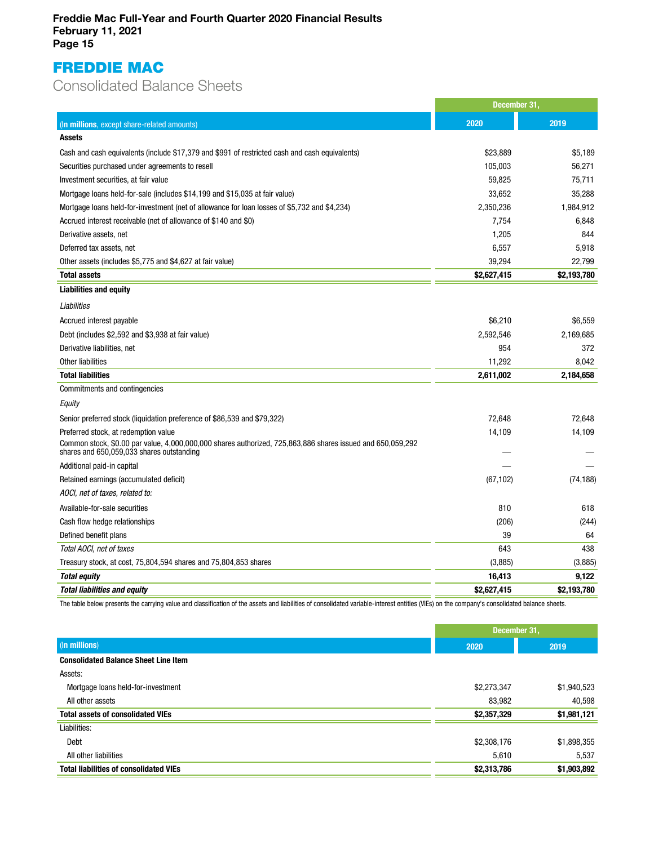# FREDDIE MAC

# Consolidated Balance Sheets

|                                                                                                                                                         | December 31, |             |
|---------------------------------------------------------------------------------------------------------------------------------------------------------|--------------|-------------|
| (In millions, except share-related amounts)                                                                                                             | 2020         | 2019        |
| <b>Assets</b>                                                                                                                                           |              |             |
| Cash and cash equivalents (include \$17,379 and \$991 of restricted cash and cash equivalents)                                                          | \$23,889     | \$5,189     |
| Securities purchased under agreements to resell                                                                                                         | 105,003      | 56,271      |
| Investment securities, at fair value                                                                                                                    | 59,825       | 75,711      |
| Mortgage loans held-for-sale (includes \$14,199 and \$15,035 at fair value)                                                                             | 33,652       | 35,288      |
| Mortgage loans held-for-investment (net of allowance for loan losses of \$5,732 and \$4,234)                                                            | 2,350,236    | 1,984,912   |
| Accrued interest receivable (net of allowance of \$140 and \$0)                                                                                         | 7,754        | 6,848       |
| Derivative assets, net                                                                                                                                  | 1,205        | 844         |
| Deferred tax assets, net                                                                                                                                | 6,557        | 5,918       |
| Other assets (includes \$5,775 and \$4,627 at fair value)                                                                                               | 39,294       | 22.799      |
| <b>Total assets</b>                                                                                                                                     | \$2,627,415  | \$2,193,780 |
| <b>Liabilities and equity</b>                                                                                                                           |              |             |
| Liabilities                                                                                                                                             |              |             |
| Accrued interest payable                                                                                                                                | \$6,210      | \$6,559     |
| Debt (includes \$2,592 and \$3,938 at fair value)                                                                                                       | 2,592,546    | 2,169,685   |
| Derivative liabilities, net                                                                                                                             | 954          | 372         |
| Other liabilities                                                                                                                                       | 11,292       | 8,042       |
| <b>Total liabilities</b>                                                                                                                                | 2,611,002    | 2,184,658   |
| Commitments and contingencies                                                                                                                           |              |             |
| Equity                                                                                                                                                  |              |             |
| Senior preferred stock (liquidation preference of \$86,539 and \$79,322)                                                                                | 72,648       | 72,648      |
| Preferred stock, at redemption value                                                                                                                    | 14,109       | 14,109      |
| Common stock, \$0.00 par value, 4,000,000,000 shares authorized, 725,863,886 shares issued and 650,059,292<br>shares and 650,059,033 shares outstanding |              |             |
| Additional paid-in capital                                                                                                                              |              |             |
| Retained earnings (accumulated deficit)                                                                                                                 | (67, 102)    | (74, 188)   |
| AOCI, net of taxes, related to:                                                                                                                         |              |             |
| Available-for-sale securities                                                                                                                           | 810          | 618         |
| Cash flow hedge relationships                                                                                                                           | (206)        | (244)       |
| Defined benefit plans                                                                                                                                   | 39           | 64          |
| Total AOCI, net of taxes                                                                                                                                | 643          | 438         |
| Treasury stock, at cost, 75,804,594 shares and 75,804,853 shares                                                                                        | (3,885)      | (3,885)     |
| <b>Total equity</b>                                                                                                                                     | 16,413       | 9,122       |
| <b>Total liabilities and equity</b>                                                                                                                     | \$2,627,415  | \$2,193,780 |

The table below presents the carrying value and classification of the assets and liabilities of consolidated variable-interest entities (VIEs) on the company's consolidated balance sheets.

|                                               | December 31, |             |  |
|-----------------------------------------------|--------------|-------------|--|
| (In millions)                                 | 2020         | 2019        |  |
| <b>Consolidated Balance Sheet Line Item</b>   |              |             |  |
| Assets:                                       |              |             |  |
| Mortgage loans held-for-investment            | \$2,273,347  | \$1,940,523 |  |
| All other assets                              | 83,982       | 40,598      |  |
| <b>Total assets of consolidated VIEs</b>      | \$2,357,329  | \$1,981,121 |  |
| Liabilities:                                  |              |             |  |
| Debt                                          | \$2,308,176  | \$1,898,355 |  |
| All other liabilities                         | 5,610        | 5,537       |  |
| <b>Total liabilities of consolidated VIEs</b> | \$2,313,786  | \$1,903,892 |  |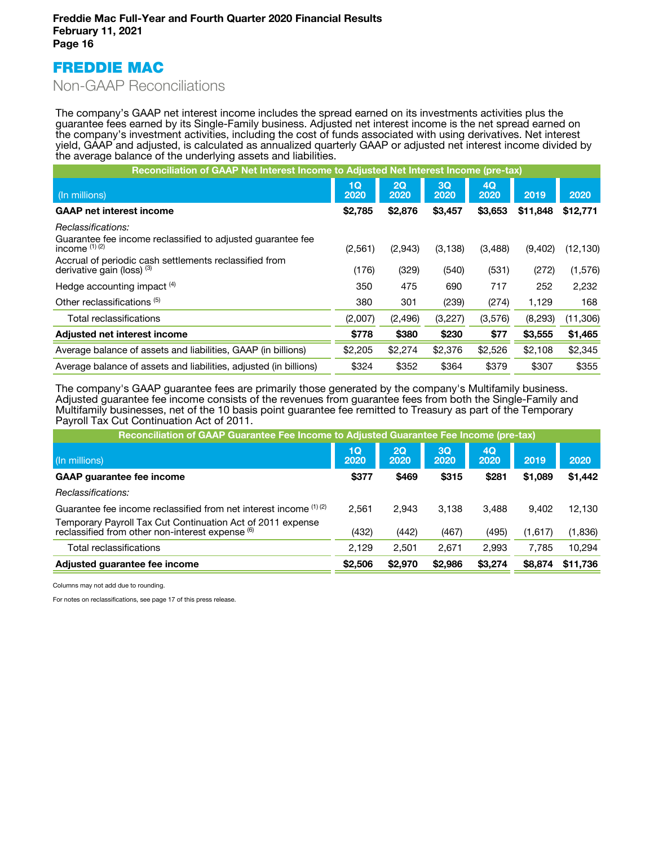# FREDDIE MAC

# Non-GAAP Reconciliations

The company's GAAP net interest income includes the spread earned on its investments activities plus the guarantee fees earned by its Single-Family business. Adjusted net interest income is the net spread earned on the company's investment activities, including the cost of funds associated with using derivatives. Net interest yield, GAAP and adjusted, is calculated as annualized quarterly GAAP or adjusted net interest income divided by the average balance of the underlying assets and liabilities.

| Reconciliation of GAAP Net Interest Income to Adjusted Net Interest Income (pre-tax) |            |            |            |            |          |           |  |
|--------------------------------------------------------------------------------------|------------|------------|------------|------------|----------|-----------|--|
| (In millions)                                                                        | 1Q<br>2020 | 2Q<br>2020 | 3Q<br>2020 | 4Q<br>2020 | 2019     | 2020      |  |
| <b>GAAP net interest income</b>                                                      | \$2,785    | \$2,876    | \$3,457    | \$3,653    | \$11,848 | \$12,771  |  |
| Reclassifications:                                                                   |            |            |            |            |          |           |  |
| Guarantee fee income reclassified to adjusted quarantee fee<br>income $(1)(2)$       | (2,561)    | (2,943)    | (3, 138)   | (3,488)    | (9,402)  | (12, 130) |  |
| Accrual of periodic cash settlements reclassified from<br>derivative gain (loss) (3) | (176)      | (329)      | (540)      | (531)      | (272)    | (1,576)   |  |
| Hedge accounting impact <sup>(4)</sup>                                               | 350        | 475        | 690        | 717        | 252      | 2,232     |  |
| Other reclassifications (5)                                                          | 380        | 301        | (239)      | (274)      | 1,129    | 168       |  |
| Total reclassifications                                                              | (2,007)    | (2, 496)   | (3,227)    | (3,576)    | (8,293)  | (11,306)  |  |
| Adjusted net interest income                                                         | \$778      | \$380      | \$230      | \$77       | \$3,555  | \$1,465   |  |
| Average balance of assets and liabilities, GAAP (in billions)                        | \$2,205    | \$2,274    | \$2,376    | \$2,526    | \$2,108  | \$2,345   |  |
| Average balance of assets and liabilities, adjusted (in billions)                    | \$324      | \$352      | \$364      | \$379      | \$307    | \$355     |  |

The company's GAAP guarantee fees are primarily those generated by the company's Multifamily business. Adjusted guarantee fee income consists of the revenues from guarantee fees from both the Single-Family and Multifamily businesses, net of the 10 basis point guarantee fee remitted to Treasury as part of the Temporary Payroll Tax Cut Continuation Act of 2011.

| 2020     |
|----------|
| \$1,442  |
|          |
| 12.130   |
| (1,836)  |
| 10.294   |
| \$11,736 |
|          |

Columns may not add due to rounding.

For notes on reclassifications, see page 17 of this press release.